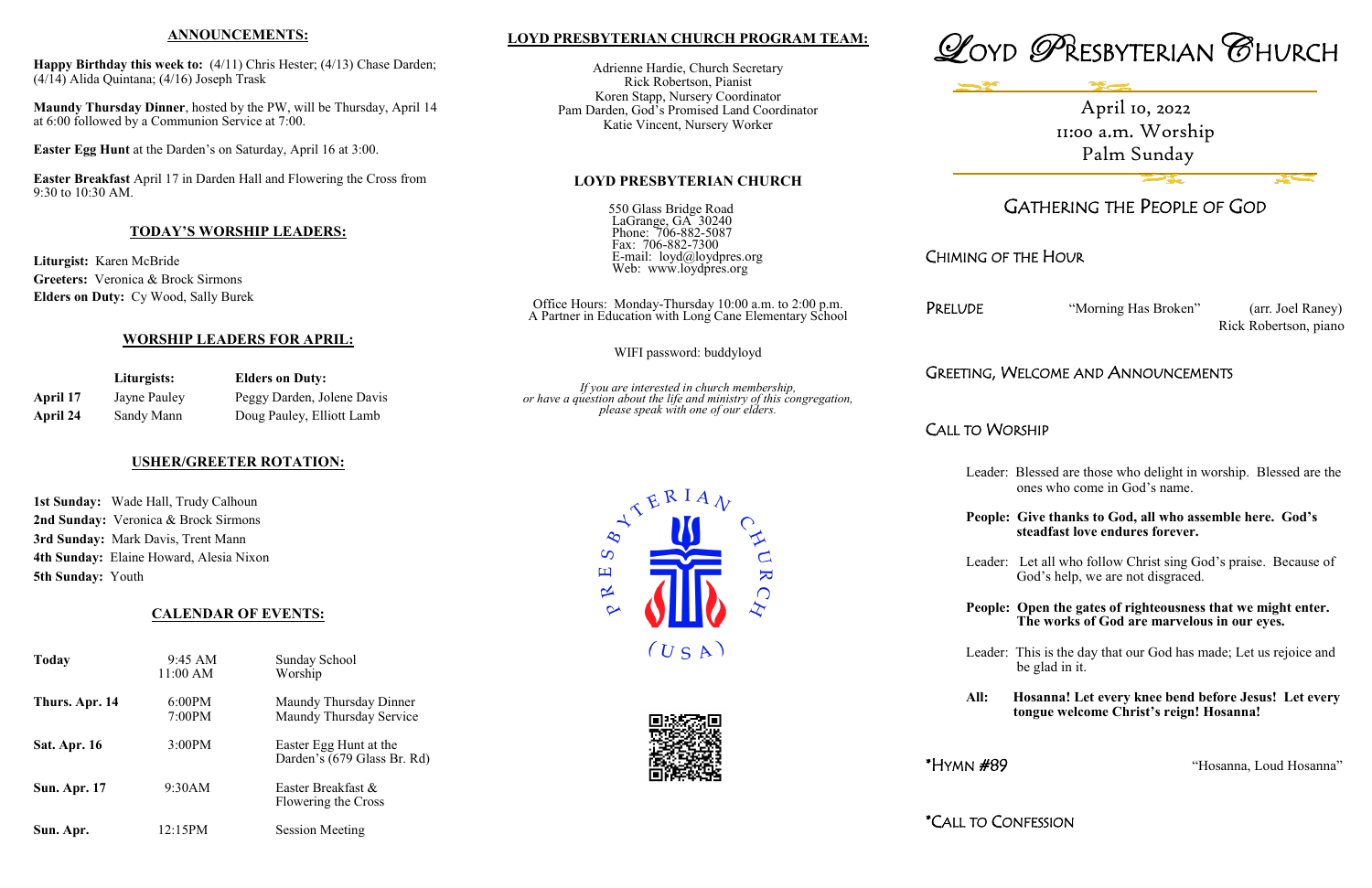## **LOYD PRESBYTERIAN CHURCH PROGRAM TEAM:**

Adrienne Hardie, Church Secretary Rick Robertson, Pianist Koren Stapp, Nursery Coordinator Pam Darden, God's Promised Land Coordinator Katie Vincent, Nursery Worker

#### **LOYD PRESBYTERIAN CHURCH**

550 Glass Bridge Road LaGrange, GA 30240 Phone: 706-882-5087 Fax: 706-882-7300 E-mail: loyd@loydpres.org Web: www.loydpres.org

> Office Hours: Monday-Thursday 10:00 a.m. to 2:00 p.m. A Partner in Education with Long Cane Elementary School

> > WIFI password: buddyloyd

*If you are interested in church membership, or have a question about the life and ministry of this congregation, please speak with one of our elders.*





# GATHERING THE PEOPLE OF GOD

## CHIMING OF THE HOUR

PRELUDE "Morning Has Broken" (arr. Joel Raney)

Rick Robertson, piano

## GREETING, WELCOME AND ANNOUNCEMENTS

CALL TO WORSHIP

- Leader: Blessed are those who delight in worship. Blessed are the ones who come in God's name.
- **People: Give thanks to God, all who assemble here. God's steadfast love endures forever.**
- Leader: Let all who follow Christ sing God's praise. Because of God's help, we are not disgraced.
- **People: Open the gates of righteousness that we might enter. The works of God are marvelous in our eyes.**

Leader: This is the day that our God has made; Let us rejoice and be glad in it.

**All: Hosanna! Let every knee bend before Jesus! Let every tongue welcome Christ's reign! Hosanna!**

\*HYMN #89 "Hosanna, Loud Hosanna"

\*CALL TO CONFESSION





#### **ANNOUNCEMENTS:**

**Happy Birthday this week to:** (4/11) Chris Hester; (4/13) Chase Darden; (4/14) Alida Quintana; (4/16) Joseph Trask

**Maundy Thursday Dinner**, hosted by the PW, will be Thursday, April 14 at 6:00 followed by a Communion Service at 7:00.

**Easter Egg Hunt** at the Darden's on Saturday, April 16 at 3:00.

**Easter Breakfast** April 17 in Darden Hall and Flowering the Cross from 9:30 to 10:30 AM.

#### **TODAY'S WORSHIP LEADERS:**

**Liturgist:** Karen McBride **Greeters:** Veronica & Brock Sirmons **Elders on Duty:** Cy Wood, Sally Burek

#### **WORSHIP LEADERS FOR APRIL:**

|          | Liturgists:  | <b>Elders on Duty:</b>     |  |
|----------|--------------|----------------------------|--|
| April 17 | Jayne Pauley | Peggy Darden, Jolene Davis |  |
| April 24 | Sandy Mann   | Doug Pauley, Elliott Lamb  |  |

#### **USHER/GREETER ROTATION:**

**1st Sunday:** Wade Hall, Trudy Calhoun **2nd Sunday:** Veronica & Brock Sirmons **3rd Sunday:** Mark Davis, Trent Mann **4th Sunday:** Elaine Howard, Alesia Nixon **5th Sunday:** Youth

#### **CALENDAR OF EVENTS:**

| Today               | 9:45 AM<br>11:00 AM | <b>Sunday School</b><br>Worship                       |
|---------------------|---------------------|-------------------------------------------------------|
| Thurs. Apr. 14      | 6:00PM<br>7:00PM    | Maundy Thursday Dinner<br>Maundy Thursday Service     |
| <b>Sat. Apr. 16</b> | 3:00PM              | Easter Egg Hunt at the<br>Darden's (679 Glass Br. Rd) |
| <b>Sun. Apr. 17</b> | 9:30AM              | Easter Breakfast &<br>Flowering the Cross             |
| Sun. Apr.           | 12:15PM             | <b>Session Meeting</b>                                |

April 10, 2022 11:00 a.m. Worship Palm Sunday